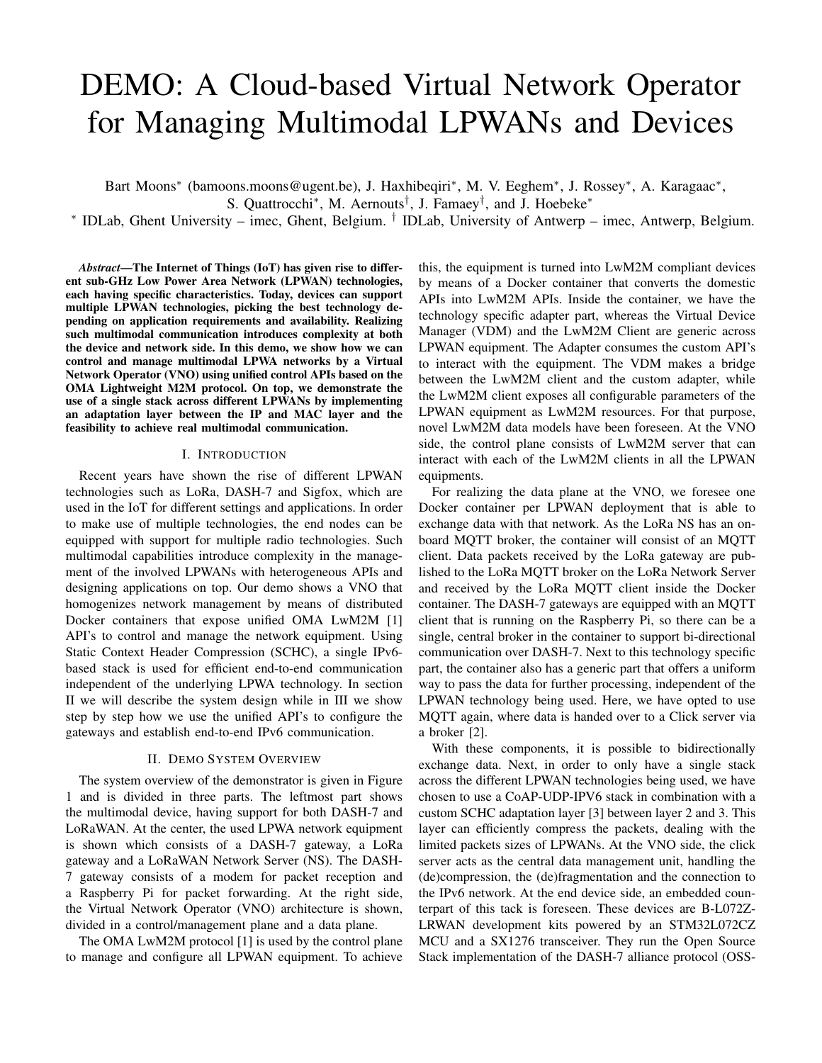# DEMO: A Cloud-based Virtual Network Operator for Managing Multimodal LPWANs and Devices

Bart Moons<sup>\*</sup> (bamoons.moons@ugent.be), J. Haxhibeqiri<sup>\*</sup>, M. V. Eeghem<sup>\*</sup>, J. Rossey<sup>\*</sup>, A. Karagaac<sup>\*</sup>, S. Quattrocchi<sup>∗</sup>, M. Aernouts<sup>†</sup>, J. Famaey<sup>†</sup>, and J. Hoebeke<sup>∗</sup>

∗ IDLab, Ghent University – imec, Ghent, Belgium. † IDLab, University of Antwerp – imec, Antwerp, Belgium.

*Abstract*—The Internet of Things (IoT) has given rise to different sub-GHz Low Power Area Network (LPWAN) technologies, each having specific characteristics. Today, devices can support multiple LPWAN technologies, picking the best technology depending on application requirements and availability. Realizing such multimodal communication introduces complexity at both the device and network side. In this demo, we show how we can control and manage multimodal LPWA networks by a Virtual Network Operator (VNO) using unified control APIs based on the OMA Lightweight M2M protocol. On top, we demonstrate the use of a single stack across different LPWANs by implementing an adaptation layer between the IP and MAC layer and the feasibility to achieve real multimodal communication.

### I. INTRODUCTION

Recent years have shown the rise of different LPWAN technologies such as LoRa, DASH-7 and Sigfox, which are used in the IoT for different settings and applications. In order to make use of multiple technologies, the end nodes can be equipped with support for multiple radio technologies. Such multimodal capabilities introduce complexity in the management of the involved LPWANs with heterogeneous APIs and designing applications on top. Our demo shows a VNO that homogenizes network management by means of distributed Docker containers that expose unified OMA LwM2M [1] API's to control and manage the network equipment. Using Static Context Header Compression (SCHC), a single IPv6 based stack is used for efficient end-to-end communication independent of the underlying LPWA technology. In section II we will describe the system design while in III we show step by step how we use the unified API's to configure the gateways and establish end-to-end IPv6 communication.

# II. DEMO SYSTEM OVERVIEW

The system overview of the demonstrator is given in Figure 1 and is divided in three parts. The leftmost part shows the multimodal device, having support for both DASH-7 and LoRaWAN. At the center, the used LPWA network equipment is shown which consists of a DASH-7 gateway, a LoRa gateway and a LoRaWAN Network Server (NS). The DASH-7 gateway consists of a modem for packet reception and a Raspberry Pi for packet forwarding. At the right side, the Virtual Network Operator (VNO) architecture is shown, divided in a control/management plane and a data plane.

The OMA LwM2M protocol [1] is used by the control plane to manage and configure all LPWAN equipment. To achieve this, the equipment is turned into LwM2M compliant devices by means of a Docker container that converts the domestic APIs into LwM2M APIs. Inside the container, we have the technology specific adapter part, whereas the Virtual Device Manager (VDM) and the LwM2M Client are generic across LPWAN equipment. The Adapter consumes the custom API's to interact with the equipment. The VDM makes a bridge between the LwM2M client and the custom adapter, while the LwM2M client exposes all configurable parameters of the LPWAN equipment as LwM2M resources. For that purpose, novel LwM2M data models have been foreseen. At the VNO side, the control plane consists of LwM2M server that can interact with each of the LwM2M clients in all the LPWAN equipments.

For realizing the data plane at the VNO, we foresee one Docker container per LPWAN deployment that is able to exchange data with that network. As the LoRa NS has an onboard MQTT broker, the container will consist of an MQTT client. Data packets received by the LoRa gateway are published to the LoRa MQTT broker on the LoRa Network Server and received by the LoRa MQTT client inside the Docker container. The DASH-7 gateways are equipped with an MQTT client that is running on the Raspberry Pi, so there can be a single, central broker in the container to support bi-directional communication over DASH-7. Next to this technology specific part, the container also has a generic part that offers a uniform way to pass the data for further processing, independent of the LPWAN technology being used. Here, we have opted to use MQTT again, where data is handed over to a Click server via a broker [2].

With these components, it is possible to bidirectionally exchange data. Next, in order to only have a single stack across the different LPWAN technologies being used, we have chosen to use a CoAP-UDP-IPV6 stack in combination with a custom SCHC adaptation layer [3] between layer 2 and 3. This layer can efficiently compress the packets, dealing with the limited packets sizes of LPWANs. At the VNO side, the click server acts as the central data management unit, handling the (de)compression, the (de)fragmentation and the connection to the IPv6 network. At the end device side, an embedded counterpart of this tack is foreseen. These devices are B-L072Z-LRWAN development kits powered by an STM32L072CZ MCU and a SX1276 transceiver. They run the Open Source Stack implementation of the DASH-7 alliance protocol (OSS-